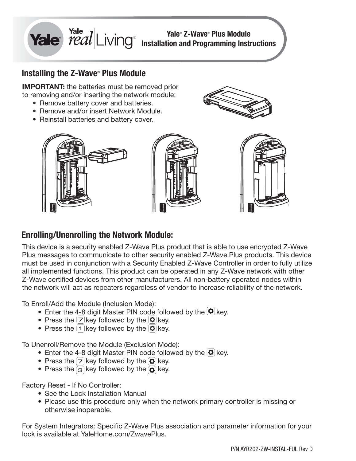

## **Installing the Z-Wave® Plus Module**

**IMPORTANT:** the batteries must be removed prior to removing and/or inserting the network module:

- Remove battery cover and batteries.
- Remove and/or insert Network Module.
- Reinstall batteries and battery cover.





# **Enrolling/Unenrolling the Network Module:**

This device is a security enabled Z-Wave Plus product that is able to use encrypted Z-Wave Plus messages to communicate to other security enabled Z-Wave Plus products. This device must be used in conjunction with a Security Enabled Z-Wave Controller in order to fully utilize all implemented functions. This product can be operated in any Z-Wave network with other Z-Wave certified devices from other manufacturers. All non-battery operated nodes within the network will act as repeaters regardless of vendor to increase reliability of the network.

To Enroll/Add the Module (Inclusion Mode):

- Enter the 4-8 digit Master PIN code followed by the  $\left( \mathbf{\Omega} \right)$  key.
- Press the  $\boxed{7}$  key followed by the  $\boxed{8}$  key.
- Press the  $\lceil \cdot \rceil$  key followed by the  $\lceil \cdot \rceil$  key.

To Unenroll/Remove the Module (Exclusion Mode):

- Enter the 4-8 digit Master PIN code followed by the  $\Phi$  key.
- Press the  $\boxed{7}$  key followed by the  $\boxed{Q}$  key.
- Press the  $\boxed{3}$  key followed by the  $\boxed{3}$  key.

Factory Reset - If No Controller:

- See the Lock Installation Manual
- Please use this procedure only when the network primary controller is missing or otherwise inoperable.

For System Integrators: Specific Z-Wave Plus association and parameter information for your lock is available at YaleHome.com/ZwavePlus.